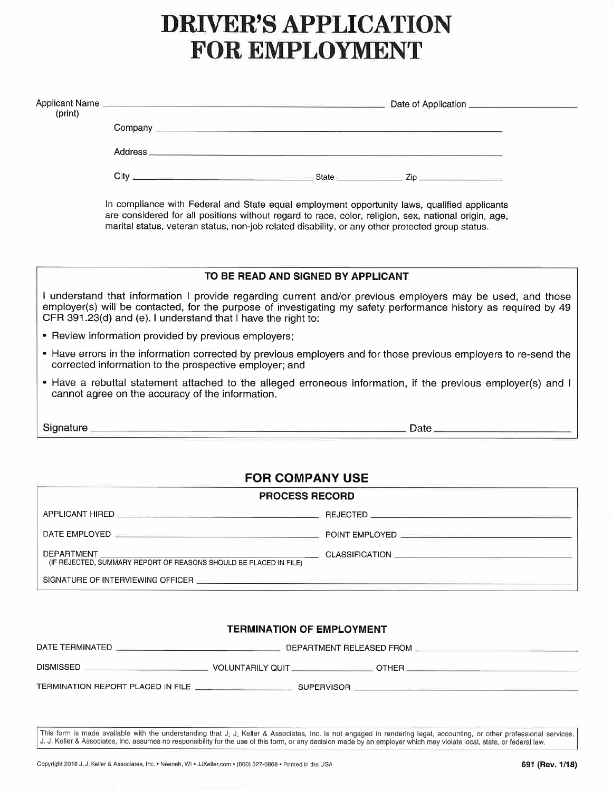# DRIVER'S APPLICATION FOR EMPLOYMENT

| (print)     |                                                        |                                                               |                                                                                                                                                                                                                                                                                                          |  |
|-------------|--------------------------------------------------------|---------------------------------------------------------------|----------------------------------------------------------------------------------------------------------------------------------------------------------------------------------------------------------------------------------------------------------------------------------------------------------|--|
|             |                                                        |                                                               |                                                                                                                                                                                                                                                                                                          |  |
|             |                                                        |                                                               |                                                                                                                                                                                                                                                                                                          |  |
|             |                                                        |                                                               |                                                                                                                                                                                                                                                                                                          |  |
|             |                                                        |                                                               | In compliance with Federal and State equal employment opportunity laws, qualified applicants<br>are considered for all positions without regard to race, color, religion, sex, national origin, age,<br>marital status, veteran status, non-job related disability, or any other protected group status. |  |
|             |                                                        | TO BE READ AND SIGNED BY APPLICANT                            |                                                                                                                                                                                                                                                                                                          |  |
|             |                                                        | CFR 391.23(d) and (e). I understand that I have the right to: | I understand that information I provide regarding current and/or previous employers may be used, and those<br>employer(s) will be contacted, for the purpose of investigating my safety performance history as required by 49                                                                            |  |
|             | • Review information provided by previous employers;   |                                                               |                                                                                                                                                                                                                                                                                                          |  |
|             | corrected information to the prospective employer; and |                                                               | • Have errors in the information corrected by previous employers and for those previous employers to re-send the                                                                                                                                                                                         |  |
|             | cannot agree on the accuracy of the information.       |                                                               | • Have a rebuttal statement attached to the alleged erroneous information, if the previous employer(s) and I                                                                                                                                                                                             |  |
|             |                                                        |                                                               | Signature example and the state of the state of the state of the state of the state of the state of the state of the state of the state of the state of the state of the state of the state of the state of the state of the s                                                                           |  |
|             |                                                        |                                                               |                                                                                                                                                                                                                                                                                                          |  |
|             |                                                        | <b>FOR COMPANY USE</b>                                        |                                                                                                                                                                                                                                                                                                          |  |
|             |                                                        | <b>PROCESS RECORD</b>                                         |                                                                                                                                                                                                                                                                                                          |  |
|             |                                                        |                                                               |                                                                                                                                                                                                                                                                                                          |  |
|             |                                                        |                                                               |                                                                                                                                                                                                                                                                                                          |  |
| DEPARTMENT_ |                                                        |                                                               |                                                                                                                                                                                                                                                                                                          |  |

(IF REJECTED, SUMMARY RW BE PLACED IN FILE)

SIGNATURE OF INTERVIEWING OFFICER

### TERMINATION OF EMPLOYMENT

| DATE TERMINATED  | DEPARTMENT RELEASED FROM |       |
|------------------|--------------------------|-------|
| <b>DISMISSED</b> | VOLUNTARILY QUIT_        | OTHER |

TERMINATION REPORT PLACED IN FILE **SUPERVISOR** 

This form is made available with the understanding that J. J. Keller & Associates, Inc. is not engaged in rendering legal, accounting, or other professional services<br>J. J. Keller & Associates, Inc. assumes no responsibilit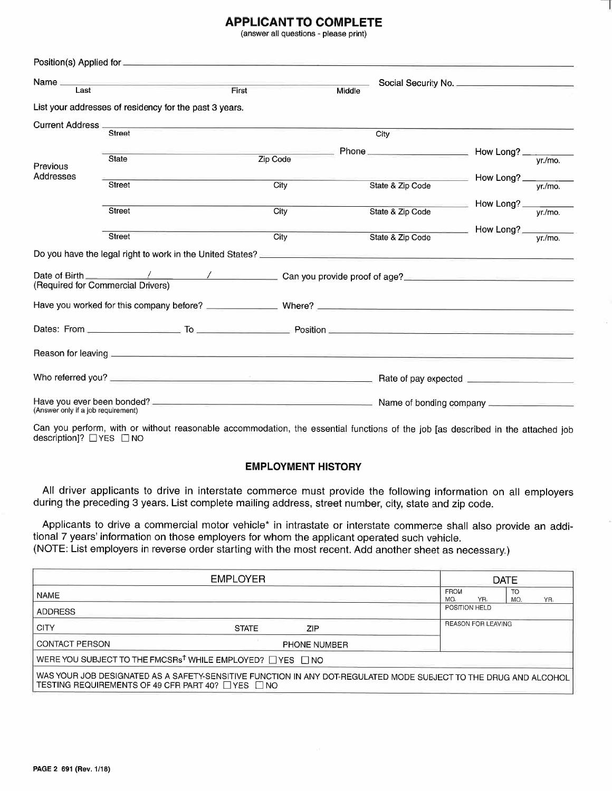## **APPLICANT TO COMPLETE**

(answer all questions - please print)

| Last                               | Name and the contract of the contract of the contract of the contract of the contract of the contract of the contract of the contract of the contract of the contract of the contract of the contract of the contract of the c | First    | Middle           |                                        |  |
|------------------------------------|--------------------------------------------------------------------------------------------------------------------------------------------------------------------------------------------------------------------------------|----------|------------------|----------------------------------------|--|
|                                    | List your addresses of residency for the past 3 years.                                                                                                                                                                         |          |                  |                                        |  |
| Current Address ______             |                                                                                                                                                                                                                                |          |                  |                                        |  |
|                                    | <b>Street</b>                                                                                                                                                                                                                  |          | City             |                                        |  |
|                                    |                                                                                                                                                                                                                                |          |                  |                                        |  |
| Previous                           | <b>State</b>                                                                                                                                                                                                                   | Zip Code |                  |                                        |  |
| Addresses                          |                                                                                                                                                                                                                                |          |                  |                                        |  |
|                                    | <b>Street</b>                                                                                                                                                                                                                  | City     | State & Zip Code |                                        |  |
|                                    |                                                                                                                                                                                                                                |          |                  |                                        |  |
|                                    | <b>Street</b>                                                                                                                                                                                                                  | City     | State & Zip Code | How Long? $\frac{y_r}{\sqrt{r}}$       |  |
|                                    |                                                                                                                                                                                                                                |          |                  |                                        |  |
|                                    | Street                                                                                                                                                                                                                         | City     | State & Zip Code | How Long? $\frac{y_r}{\sqrt{y_r/m_0}}$ |  |
|                                    | Do you have the legal right to work in the United States? ______________________                                                                                                                                               |          |                  |                                        |  |
|                                    | (Required for Commercial Drivers)                                                                                                                                                                                              |          |                  |                                        |  |
|                                    |                                                                                                                                                                                                                                |          |                  |                                        |  |
|                                    |                                                                                                                                                                                                                                |          |                  |                                        |  |
|                                    |                                                                                                                                                                                                                                |          |                  |                                        |  |
|                                    |                                                                                                                                                                                                                                |          |                  |                                        |  |
| (Answer only if a job requirement) |                                                                                                                                                                                                                                |          |                  |                                        |  |

Can you perform, with or without reasonable accommodation, the essential functions of the job [as described in the attached job description]?  $\Box$  YES  $\Box$  NO

### EMPLOYMENT HISTORY

All driver applicants to drive in interstate commerce must provide the following information on all employers during the preceding 3 years. List complete mailing address, street number, city, state and zip code.

Applicants to drive a commercial motor vehicle\* in intrastate or interstate commerce shall also provide an additional 7 years'information on those employers for whom the applicant operated such vehicle. (NOTE: List employers in reverse order starting with the most recent. Add another sheet as necessary.)

|                                                                      | <b>EMPLOYER</b>                                                                                                  |                    |                           | <b>DATE</b> |     |
|----------------------------------------------------------------------|------------------------------------------------------------------------------------------------------------------|--------------------|---------------------------|-------------|-----|
| <b>NAME</b>                                                          |                                                                                                                  | <b>FROM</b><br>MO. | YR.                       | TO<br>MO.   | YR. |
| <b>ADDRESS</b>                                                       |                                                                                                                  | POSITION HELD      |                           |             |     |
| <b>CITY</b>                                                          | <b>STATE</b><br>ZIP                                                                                              |                    | <b>REASON FOR LEAVING</b> |             |     |
| <b>CONTACT PERSON</b>                                                | <b>PHONE NUMBER</b>                                                                                              |                    |                           |             |     |
| WERE YOU SUBJECT TO THE FMCSRs <sup>t</sup> WHILE EMPLOYED? UYES UNO |                                                                                                                  |                    |                           |             |     |
| TESTING REQUIREMENTS OF 49 CFR PART 40? □ YES □ NO                   | WAS YOUR JOB DESIGNATED AS A SAFETY-SENSITIVE FUNCTION IN ANY DOT-REGULATED MODE SUBJECT TO THE DRUG AND ALCOHOL |                    |                           |             |     |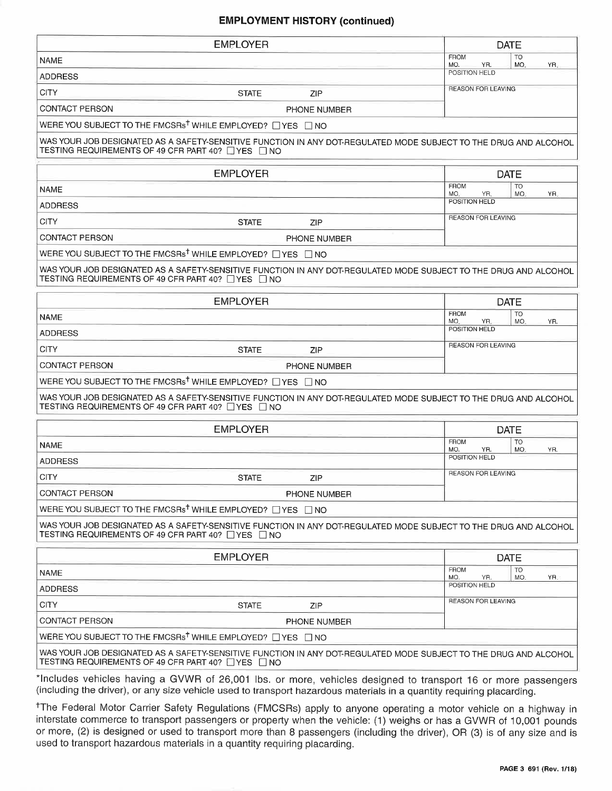## EMPLOYMENT HISTORY (continued)

|                       | <b>EMPLOYER</b>                                                                  |                                                                                                                                                                                                                                        |                           | <b>DATE</b>      |     |
|-----------------------|----------------------------------------------------------------------------------|----------------------------------------------------------------------------------------------------------------------------------------------------------------------------------------------------------------------------------------|---------------------------|------------------|-----|
| NAME                  |                                                                                  |                                                                                                                                                                                                                                        | <b>FROM</b><br>MO.<br>YR. | <b>TO</b><br>MO. | YR. |
| <b>ADDRESS</b>        |                                                                                  |                                                                                                                                                                                                                                        | POSITION HELD             |                  |     |
| <b>CITY</b>           | <b>STATE</b>                                                                     | ZIP                                                                                                                                                                                                                                    | <b>REASON FOR LEAVING</b> |                  |     |
| CONTACT PERSON        |                                                                                  | PHONE NUMBER                                                                                                                                                                                                                           |                           |                  |     |
|                       | WERE YOU SUBJECT TO THE FMCSRs <sup>†</sup> WHILE EMPLOYED? □ YES □ NO           |                                                                                                                                                                                                                                        |                           |                  |     |
|                       | TESTING REQUIREMENTS OF 49 CFR PART 40? □ YES □ NO                               | WAS YOUR JOB DESIGNATED AS A SAFETY-SENSITIVE FUNCTION IN ANY DOT-REGULATED MODE SUBJECT TO THE DRUG AND ALCOHOL                                                                                                                       |                           |                  |     |
|                       | <b>EMPLOYER</b>                                                                  |                                                                                                                                                                                                                                        |                           | <b>DATE</b>      |     |
| NAME                  |                                                                                  |                                                                                                                                                                                                                                        | <b>FROM</b><br>MO.<br>YR. | <b>TO</b><br>MO. | YR. |
| <b>ADDRESS</b>        |                                                                                  |                                                                                                                                                                                                                                        | POSITION HELD             |                  |     |
| <b>CITY</b>           | <b>STATE</b>                                                                     | ZIP                                                                                                                                                                                                                                    | <b>REASON FOR LEAVING</b> |                  |     |
| <b>CONTACT PERSON</b> |                                                                                  | PHONE NUMBER                                                                                                                                                                                                                           |                           |                  |     |
|                       | WERE YOU SUBJECT TO THE FMCSRs <sup>†</sup> WHILE EMPLOYED? $\Box$ YES $\Box$ NO |                                                                                                                                                                                                                                        |                           |                  |     |
|                       | TESTING REQUIREMENTS OF 49 CFR PART 40? $\Box$ YES $\,\Box$ NO                   | WAS YOUR JOB DESIGNATED AS A SAFETY-SENSITIVE FUNCTION IN ANY DOT-REGULATED MODE SUBJECT TO THE DRUG AND ALCOHOL                                                                                                                       |                           |                  |     |
|                       | <b>EMPLOYER</b>                                                                  |                                                                                                                                                                                                                                        |                           | <b>DATE</b>      |     |
| <b>NAME</b>           |                                                                                  |                                                                                                                                                                                                                                        | <b>FROM</b><br>MO.<br>YR. | <b>TO</b><br>MO. | YR. |
| <b>ADDRESS</b>        |                                                                                  |                                                                                                                                                                                                                                        | POSITION HELD             |                  |     |
| <b>CITY</b>           | <b>STATE</b>                                                                     | ZIP                                                                                                                                                                                                                                    | <b>REASON FOR LEAVING</b> |                  |     |
| <b>CONTACT PERSON</b> |                                                                                  | PHONE NUMBER                                                                                                                                                                                                                           |                           |                  |     |
|                       | WERE YOU SUBJECT TO THE FMCSRs <sup>†</sup> WHILE EMPLOYED? □ YES □ NO           |                                                                                                                                                                                                                                        |                           |                  |     |
|                       | TESTING REQUIREMENTS OF 49 CFR PART 40? □ YES □ NO                               | WAS YOUR JOB DESIGNATED AS A SAFETY-SENSITIVE FUNCTION IN ANY DOT-REGULATED MODE SUBJECT TO THE DRUG AND ALCOHOL                                                                                                                       |                           |                  |     |
|                       | <b>EMPLOYER</b>                                                                  |                                                                                                                                                                                                                                        |                           | <b>DATE</b>      |     |
| <b>NAME</b>           |                                                                                  |                                                                                                                                                                                                                                        | <b>FROM</b><br>MO.<br>YR. | TO<br>MO.        | YR. |
| <b>ADDRESS</b>        |                                                                                  |                                                                                                                                                                                                                                        | POSITION HELD             |                  |     |
| <b>CITY</b>           | <b>STATE</b>                                                                     | <b>ZIP</b>                                                                                                                                                                                                                             | REASON FOR LEAVING        |                  |     |
| <b>CONTACT PERSON</b> |                                                                                  | PHONE NUMBER                                                                                                                                                                                                                           |                           |                  |     |
|                       | WERE YOU SUBJECT TO THE FMCSRs <sup>†</sup> WHILE EMPLOYED? □ YES □ NO           |                                                                                                                                                                                                                                        |                           |                  |     |
|                       | TESTING REQUIREMENTS OF 49 CFR PART 40? □ YES □ NO                               | WAS YOUR JOB DESIGNATED AS A SAFETY-SENSITIVE FUNCTION IN ANY DOT-REGULATED MODE SUBJECT TO THE DRUG AND ALCOHOL                                                                                                                       |                           |                  |     |
|                       | <b>EMPLOYER</b>                                                                  |                                                                                                                                                                                                                                        |                           | <b>DATE</b>      |     |
| NAME                  |                                                                                  |                                                                                                                                                                                                                                        | <b>FROM</b><br>MO.<br>YR. | <b>TO</b><br>MO. | YR. |
| <b>ADDRESS</b>        |                                                                                  |                                                                                                                                                                                                                                        | POSITION HELD             |                  |     |
| <b>CITY</b>           | <b>STATE</b>                                                                     | ZIP                                                                                                                                                                                                                                    | <b>REASON FOR LEAVING</b> |                  |     |
| CONTACT PERSON        |                                                                                  | PHONE NUMBER                                                                                                                                                                                                                           |                           |                  |     |
|                       | WERE YOU SUBJECT TO THE FMCSRs <sup>†</sup> WHILE EMPLOYED? □ YES □ NO           |                                                                                                                                                                                                                                        |                           |                  |     |
|                       | TESTING REQUIREMENTS OF 49 CFR PART 40? □ YES □ NO                               | WAS YOUR JOB DESIGNATED AS A SAFETY-SENSITIVE FUNCTION IN ANY DOT-REGULATED MODE SUBJECT TO THE DRUG AND ALCOHOL                                                                                                                       |                           |                  |     |
|                       |                                                                                  | *Includes vehicles having a GVWR of 26,001 lbs. or more, vehicles designed to transport 16 or more passengers<br>(including the driver), or any size vehicle used to transport hazardous materials in a quantity requiring placarding. |                           |                  |     |

tThe Federal Motor Carrier Safety Regulations (FMCSRs) apply to anyone operating a motor vehicle on a highway in interstate commerce to transport passengers or property when the vehicle: (1) weighs or has a GVWR of 'lO,OO1 pounds or more, (2) is designed or used to transport more than 8 passengers (including the driver), OR (3) is of any size and is used to transport hazardous materials in a quantity requiring placarding.